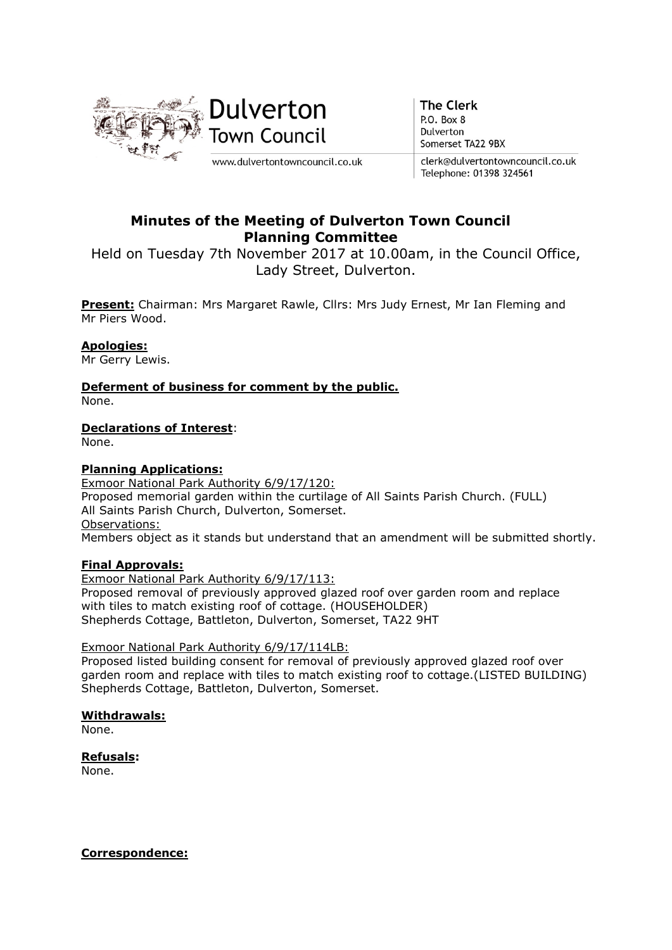

**The Clerk** P.O. Box 8 Dulverton Somerset TA22 9BX

clerk@dulvertontowncouncil.co.uk Telephone: 01398 324561

# Minutes of the Meeting of Dulverton Town Council Planning Committee

Held on Tuesday 7th November 2017 at 10.00am, in the Council Office, Lady Street, Dulverton.

Present: Chairman: Mrs Margaret Rawle, Cllrs: Mrs Judy Ernest, Mr Ian Fleming and Mr Piers Wood.

# Apologies:

Mr Gerry Lewis.

Deferment of business for comment by the public. None.

## Declarations of Interest:

None.

#### Planning Applications:

Exmoor National Park Authority 6/9/17/120: Proposed memorial garden within the curtilage of All Saints Parish Church. (FULL) All Saints Parish Church, Dulverton, Somerset. Observations: Members object as it stands but understand that an amendment will be submitted shortly.

#### Final Approvals:

Exmoor National Park Authority 6/9/17/113: Proposed removal of previously approved glazed roof over garden room and replace with tiles to match existing roof of cottage. (HOUSEHOLDER) Shepherds Cottage, Battleton, Dulverton, Somerset, TA22 9HT

#### Exmoor National Park Authority 6/9/17/114LB:

Proposed listed building consent for removal of previously approved glazed roof over garden room and replace with tiles to match existing roof to cottage.(LISTED BUILDING) Shepherds Cottage, Battleton, Dulverton, Somerset.

#### Withdrawals:

None.

Refusals:

None.

#### Correspondence: